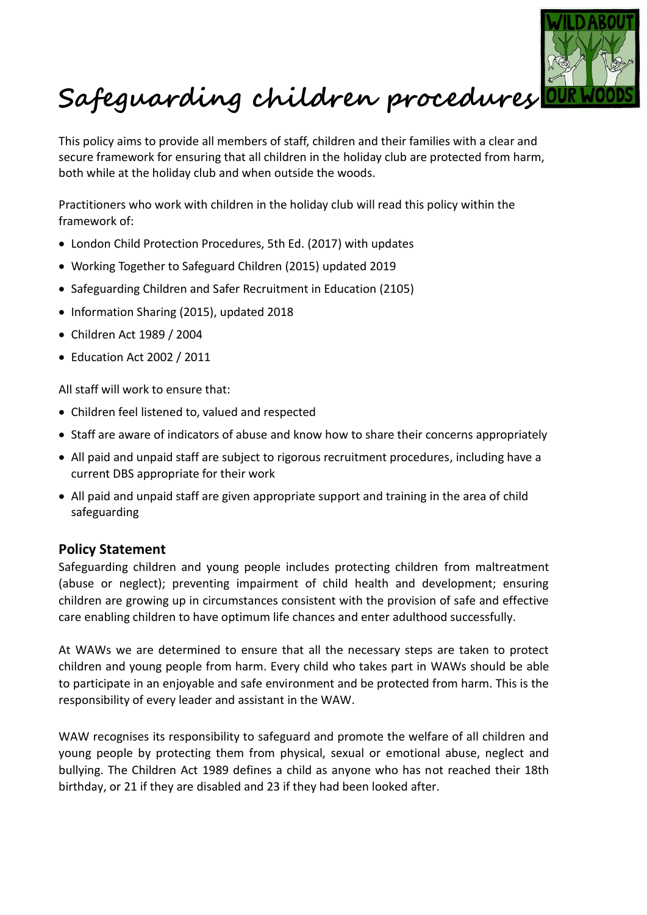

# **Safeguarding children procedures**

This policy aims to provide all members of staff, children and their families with a clear and secure framework for ensuring that all children in the holiday club are protected from harm, both while at the holiday club and when outside the woods.

Practitioners who work with children in the holiday club will read this policy within the framework of:

- London Child Protection Procedures, 5th Ed. (2017) with updates
- Working Together to Safeguard Children (2015) updated 2019
- Safeguarding Children and Safer Recruitment in Education (2105)
- Information Sharing (2015), updated 2018
- Children Act 1989 / 2004
- Education Act 2002 / 2011

All staff will work to ensure that:

- Children feel listened to, valued and respected
- Staff are aware of indicators of abuse and know how to share their concerns appropriately
- All paid and unpaid staff are subject to rigorous recruitment procedures, including have a current DBS appropriate for their work
- All paid and unpaid staff are given appropriate support and training in the area of child safeguarding

## **Policy Statement**

Safeguarding children and young people includes protecting children from maltreatment (abuse or neglect); preventing impairment of child health and development; ensuring children are growing up in circumstances consistent with the provision of safe and effective care enabling children to have optimum life chances and enter adulthood successfully.

At WAWs we are determined to ensure that all the necessary steps are taken to protect children and young people from harm. Every child who takes part in WAWs should be able to participate in an enjoyable and safe environment and be protected from harm. This is the responsibility of every leader and assistant in the WAW.

WAW recognises its responsibility to safeguard and promote the welfare of all children and young people by protecting them from physical, sexual or emotional abuse, neglect and bullying. The Children Act 1989 defines a child as anyone who has not reached their 18th birthday, or 21 if they are disabled and 23 if they had been looked after.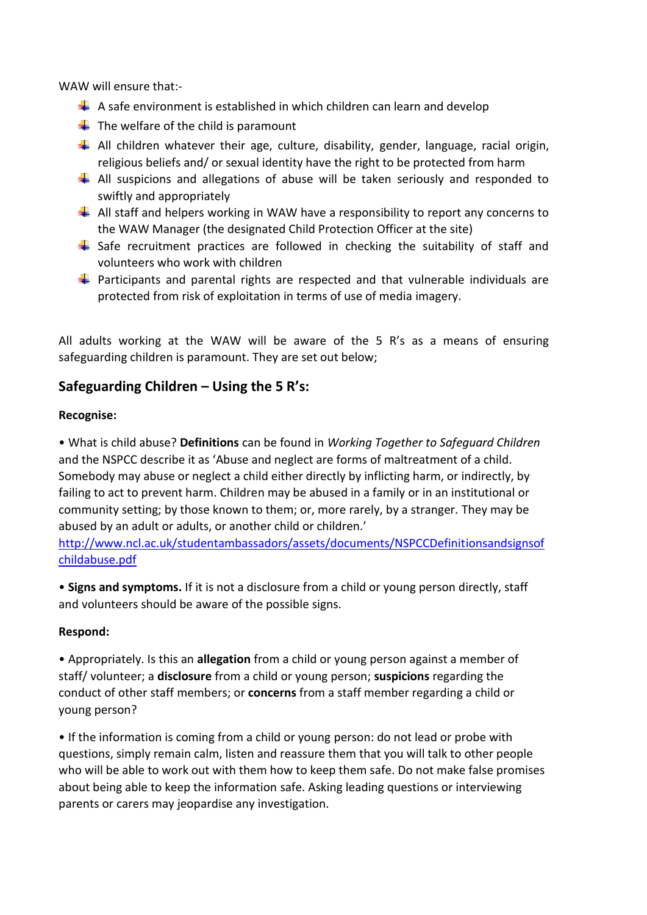WAW will ensure that:-

- $\Box$  A safe environment is established in which children can learn and develop
- $\triangleq$  The welfare of the child is paramount
- All children whatever their age, culture, disability, gender, language, racial origin, religious beliefs and/ or sexual identity have the right to be protected from harm
- $\downarrow$  All suspicions and allegations of abuse will be taken seriously and responded to swiftly and appropriately
- $\downarrow$  All staff and helpers working in WAW have a responsibility to report any concerns to the WAW Manager (the designated Child Protection Officer at the site)
- $\ddot{+}$  Safe recruitment practices are followed in checking the suitability of staff and volunteers who work with children
- $\downarrow$  Participants and parental rights are respected and that vulnerable individuals are protected from risk of exploitation in terms of use of media imagery.

All adults working at the WAW will be aware of the 5 R's as a means of ensuring safeguarding children is paramount. They are set out below;

## **Safeguarding Children – Using the 5 R's:**

### **Recognise:**

• What is child abuse? **Definitions** can be found in *Working Together to Safeguard Children*  and the NSPCC describe it as 'Abuse and neglect are forms of maltreatment of a child. Somebody may abuse or neglect a child either directly by inflicting harm, or indirectly, by failing to act to prevent harm. Children may be abused in a family or in an institutional or community setting; by those known to them; or, more rarely, by a stranger. They may be abused by an adult or adults, or another child or children.'

[http://www.ncl.ac.uk/studentambassadors/assets/documents/NSPCCDefinitionsandsignsof](http://www.ncl.ac.uk/studentambassadors/assets/documents/NSPCCDefinitionsandsignsofchildabuse.pdf) [childabuse.pdf](http://www.ncl.ac.uk/studentambassadors/assets/documents/NSPCCDefinitionsandsignsofchildabuse.pdf)

• **Signs and symptoms.** If it is not a disclosure from a child or young person directly, staff and volunteers should be aware of the possible signs.

### **Respond:**

• Appropriately. Is this an **allegation** from a child or young person against a member of staff/ volunteer; a **disclosure** from a child or young person; **suspicions** regarding the conduct of other staff members; or **concerns** from a staff member regarding a child or young person?

• If the information is coming from a child or young person: do not lead or probe with questions, simply remain calm, listen and reassure them that you will talk to other people who will be able to work out with them how to keep them safe. Do not make false promises about being able to keep the information safe. Asking leading questions or interviewing parents or carers may jeopardise any investigation.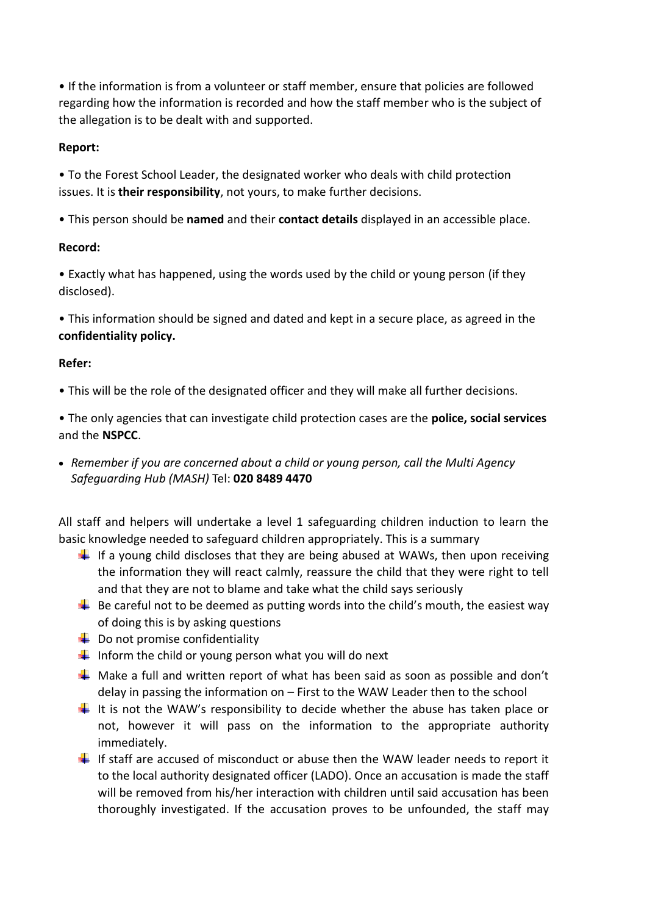• If the information is from a volunteer or staff member, ensure that policies are followed regarding how the information is recorded and how the staff member who is the subject of the allegation is to be dealt with and supported.

## **Report:**

• To the Forest School Leader, the designated worker who deals with child protection issues. It is **their responsibility**, not yours, to make further decisions.

• This person should be **named** and their **contact details** displayed in an accessible place.

## **Record:**

• Exactly what has happened, using the words used by the child or young person (if they disclosed).

• This information should be signed and dated and kept in a secure place, as agreed in the **confidentiality policy.**

## **Refer:**

• This will be the role of the designated officer and they will make all further decisions.

• The only agencies that can investigate child protection cases are the **police, social services**  and the **NSPCC**.

• *Remember if you are concerned about a child or young person, call the Multi Agency Safeguarding Hub (MASH)* Tel: **020 8489 4470**

All staff and helpers will undertake a level 1 safeguarding children induction to learn the basic knowledge needed to safeguard children appropriately. This is a summary

- If a young child discloses that they are being abused at WAWs, then upon receiving the information they will react calmly, reassure the child that they were right to tell and that they are not to blame and take what the child says seriously
- $\ddot{\bullet}$  Be careful not to be deemed as putting words into the child's mouth, the easiest way of doing this is by asking questions
- $\downarrow$  Do not promise confidentiality
- Inform the child or young person what you will do next
- $\frac{1}{2}$  Make a full and written report of what has been said as soon as possible and don't delay in passing the information on – First to the WAW Leader then to the school
- $\downarrow$  It is not the WAW's responsibility to decide whether the abuse has taken place or not, however it will pass on the information to the appropriate authority immediately.
- If staff are accused of misconduct or abuse then the WAW leader needs to report it to the local authority designated officer (LADO). Once an accusation is made the staff will be removed from his/her interaction with children until said accusation has been thoroughly investigated. If the accusation proves to be unfounded, the staff may